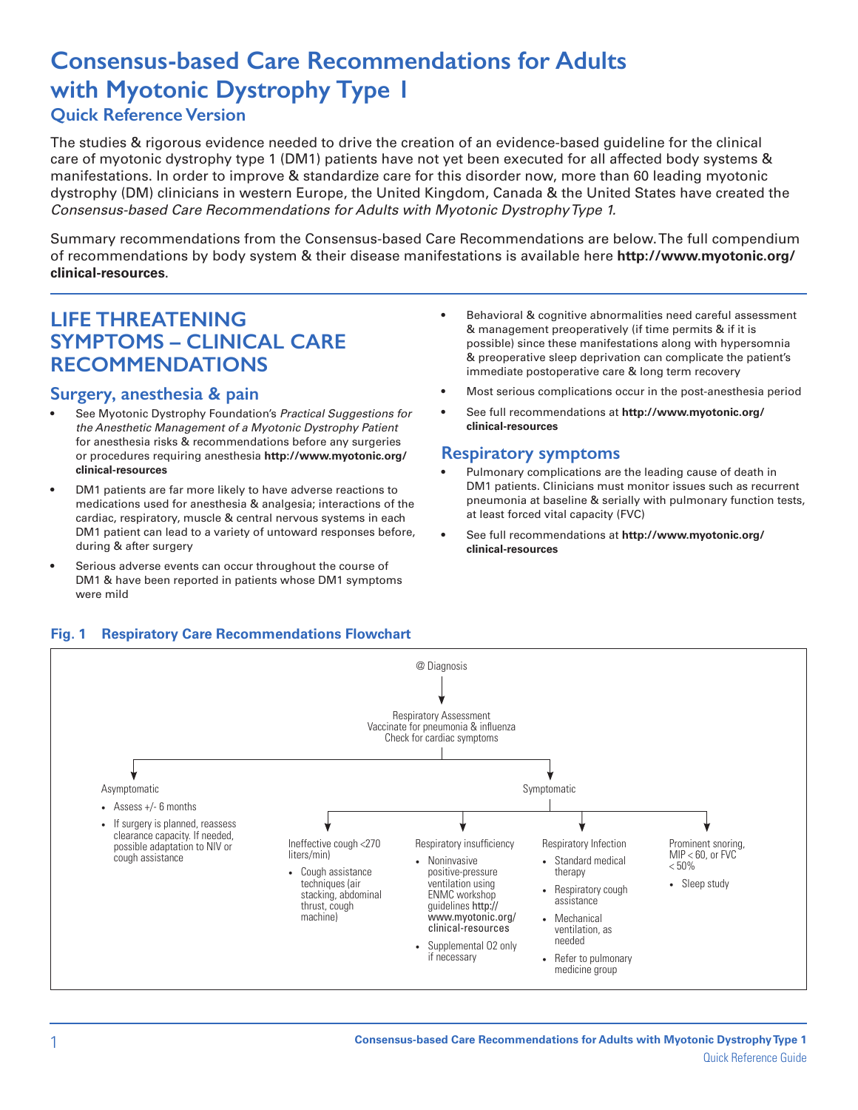# **Consensus-based Care Recommendations for Adults with Myotonic Dystrophy Type 1**

# **Quick Reference Version**

The studies & rigorous evidence needed to drive the creation of an evidence-based guideline for the clinical care of myotonic dystrophy type 1 (DM1) patients have not yet been executed for all affected body systems & manifestations. In order to improve & standardize care for this disorder now, more than 60 leading myotonic dystrophy (DM) clinicians in western Europe, the United Kingdom, Canada & the United States have created the *Consensus-based Care Recommendations for Adults with Myotonic Dystrophy Type 1.*

Summary recommendations from the Consensus-based Care Recommendations are below. The full compendium of recommendations by body system & their disease manifestations is available here **http://www.myotonic.org/ clinical-resources**.

# **LIFE THREATENING SYMPTOMS – CLINICAL CARE RECOMMENDATIONS**

#### **Surgery, anesthesia & pain**

- See Myotonic Dystrophy Foundation's *Practical Suggestions for the Anesthetic Management of a Myotonic Dystrophy Patient* for anesthesia risks & recommendations before any surgeries or procedures requiring anesthesia **http://www.myotonic.org/ clinical-resources**
- DM1 patients are far more likely to have adverse reactions to medications used for anesthesia & analgesia; interactions of the cardiac, respiratory, muscle & central nervous systems in each DM1 patient can lead to a variety of untoward responses before, during & after surgery
- Serious adverse events can occur throughout the course of DM1 & have been reported in patients whose DM1 symptoms were mild
- Behavioral & cognitive abnormalities need careful assessment & management preoperatively (if time permits & if it is possible) since these manifestations along with hypersomnia & preoperative sleep deprivation can complicate the patient's immediate postoperative care & long term recovery
- Most serious complications occur in the post-anesthesia period
- See full recommendations at **http://www.myotonic.org/ clinical-resources**

#### **Respiratory symptoms**

- Pulmonary complications are the leading cause of death in DM1 patients. Clinicians must monitor issues such as recurrent pneumonia at baseline & serially with pulmonary function tests, at least forced vital capacity (FVC)
- See full recommendations at **http://www.myotonic.org/ clinical-resources**

#### **Fig. 1 Respiratory Care Recommendations Flowchart**

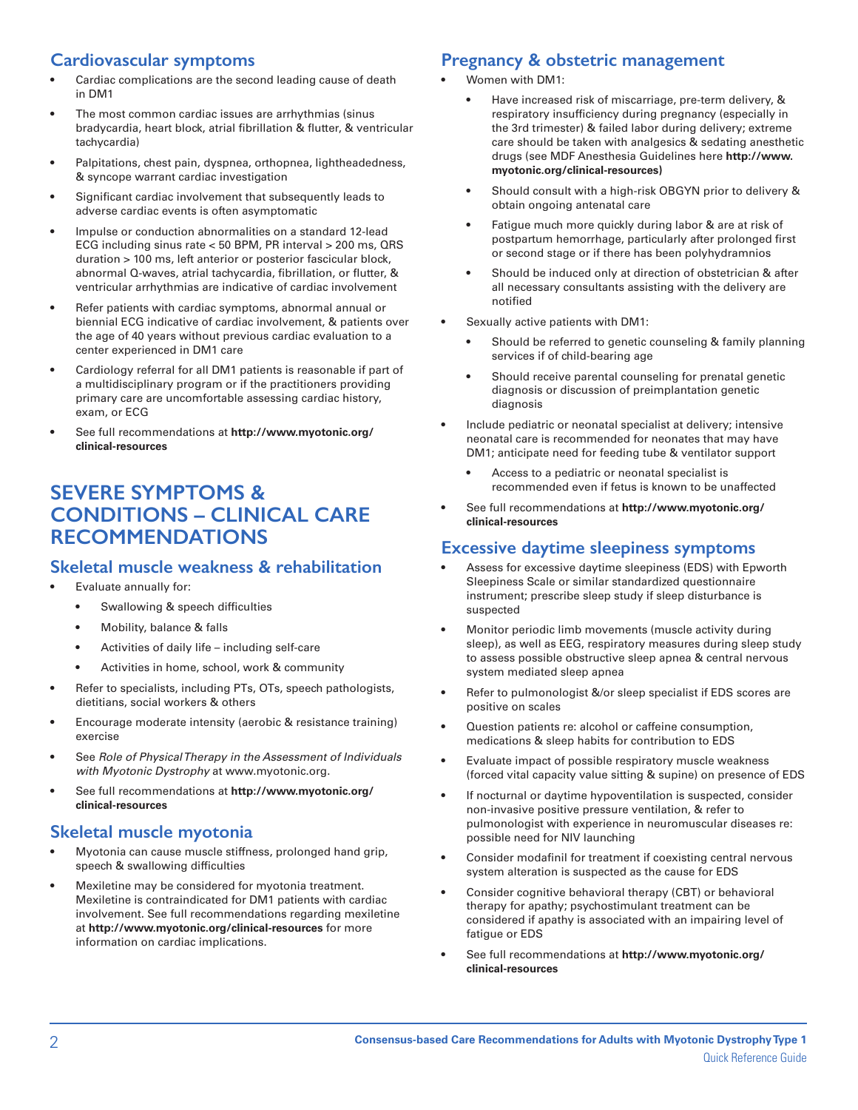# **Cardiovascular symptoms**

- Cardiac complications are the second leading cause of death in DM1
- The most common cardiac issues are arrhythmias (sinus bradycardia, heart block, atrial fibrillation & flutter, & ventricular tachycardia)
- Palpitations, chest pain, dyspnea, orthopnea, lightheadedness, & syncope warrant cardiac investigation
- Significant cardiac involvement that subsequently leads to adverse cardiac events is often asymptomatic
- Impulse or conduction abnormalities on a standard 12-lead ECG including sinus rate < 50 BPM, PR interval > 200 ms, QRS duration > 100 ms, left anterior or posterior fascicular block, abnormal Q-waves, atrial tachycardia, fibrillation, or flutter, & ventricular arrhythmias are indicative of cardiac involvement
- Refer patients with cardiac symptoms, abnormal annual or biennial ECG indicative of cardiac involvement, & patients over the age of 40 years without previous cardiac evaluation to a center experienced in DM1 care
- Cardiology referral for all DM1 patients is reasonable if part of a multidisciplinary program or if the practitioners providing primary care are uncomfortable assessing cardiac history, exam, or ECG
- See full recommendations at **http://www.myotonic.org/ clinical-resources**

# **SEVERE SYMPTOMS & CONDITIONS – CLINICAL CARE RECOMMENDATIONS**

#### **Skeletal muscle weakness & rehabilitation**

- Evaluate annually for:
	- Swallowing & speech difficulties
	- Mobility, balance & falls
	- Activities of daily life including self-care
	- Activities in home, school, work & community
- Refer to specialists, including PTs, OTs, speech pathologists, dietitians, social workers & others
- Encourage moderate intensity (aerobic & resistance training) exercise
- See *Role of Physical Therapy in the Assessment of Individuals with Myotonic Dystrophy* at www.myotonic.org.
- See full recommendations at **http://www.myotonic.org/ clinical-resources**

#### **Skeletal muscle myotonia**

- Myotonia can cause muscle stiffness, prolonged hand grip, speech & swallowing difficulties
- Mexiletine may be considered for myotonia treatment. Mexiletine is contraindicated for DM1 patients with cardiac involvement. See full recommendations regarding mexiletine at **http://www.myotonic.org/clinical-resources** for more information on cardiac implications.

# **Pregnancy & obstetric management**

- Women with DM1:
	- Have increased risk of miscarriage, pre-term delivery, & respiratory insufficiency during pregnancy (especially in the 3rd trimester) & failed labor during delivery; extreme care should be taken with analgesics & sedating anesthetic drugs (see MDF Anesthesia Guidelines here **http://www. myotonic.org/clinical-resources)**
	- Should consult with a high-risk OBGYN prior to delivery & obtain ongoing antenatal care
	- Fatigue much more quickly during labor & are at risk of postpartum hemorrhage, particularly after prolonged first or second stage or if there has been polyhydramnios
	- Should be induced only at direction of obstetrician & after all necessary consultants assisting with the delivery are notified
- Sexually active patients with DM1:
	- Should be referred to genetic counseling & family planning services if of child-bearing age
	- Should receive parental counseling for prenatal genetic diagnosis or discussion of preimplantation genetic diagnosis
- Include pediatric or neonatal specialist at delivery; intensive neonatal care is recommended for neonates that may have DM1; anticipate need for feeding tube & ventilator support
	- Access to a pediatric or neonatal specialist is recommended even if fetus is known to be unaffected
- See full recommendations at **http://www.myotonic.org/ clinical-resources**

## **Excessive daytime sleepiness symptoms**

- Assess for excessive daytime sleepiness (EDS) with Epworth Sleepiness Scale or similar standardized questionnaire instrument; prescribe sleep study if sleep disturbance is suspected
- Monitor periodic limb movements (muscle activity during sleep), as well as EEG, respiratory measures during sleep study to assess possible obstructive sleep apnea & central nervous system mediated sleep apnea
- Refer to pulmonologist &/or sleep specialist if EDS scores are positive on scales
- Question patients re: alcohol or caffeine consumption, medications & sleep habits for contribution to EDS
- Evaluate impact of possible respiratory muscle weakness (forced vital capacity value sitting & supine) on presence of EDS
- If nocturnal or daytime hypoventilation is suspected, consider non-invasive positive pressure ventilation, & refer to pulmonologist with experience in neuromuscular diseases re: possible need for NIV launching
- Consider modafinil for treatment if coexisting central nervous system alteration is suspected as the cause for EDS
- Consider cognitive behavioral therapy (CBT) or behavioral therapy for apathy; psychostimulant treatment can be considered if apathy is associated with an impairing level of fatigue or EDS
- See full recommendations at **http://www.myotonic.org/ clinical-resources**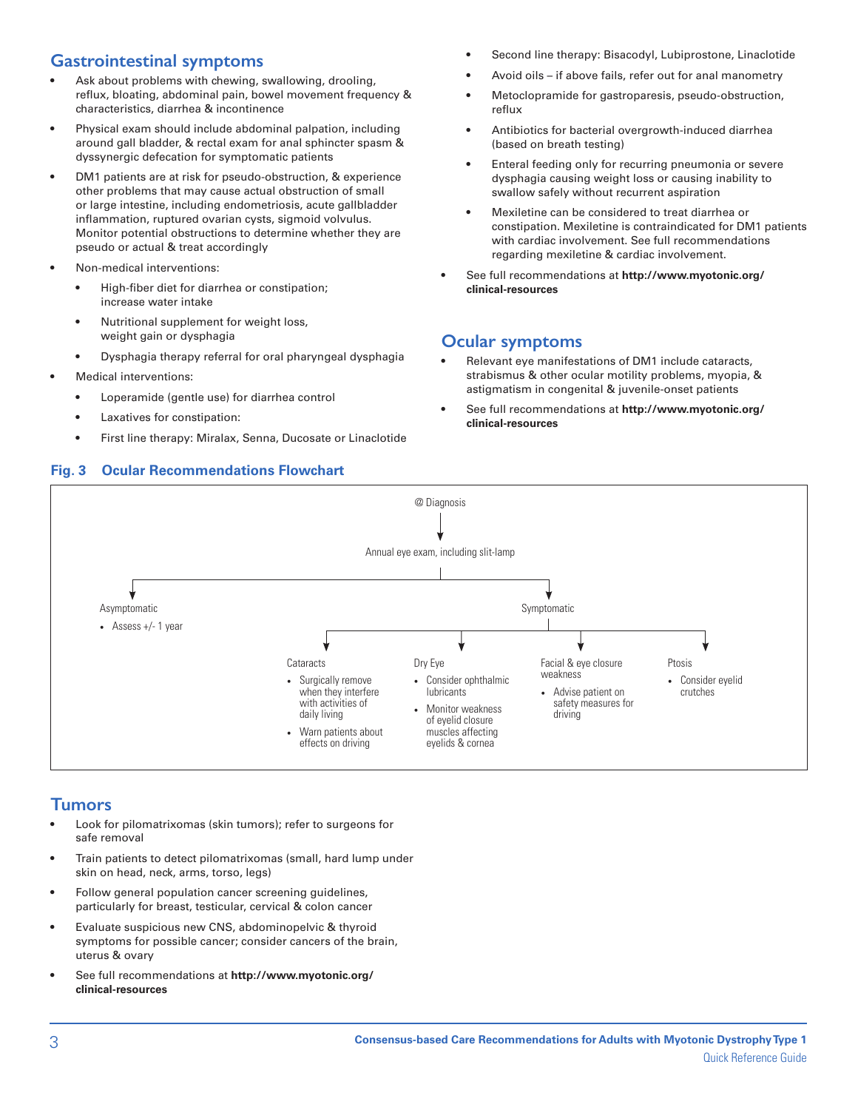# **Gastrointestinal symptoms**

- Ask about problems with chewing, swallowing, drooling, reflux, bloating, abdominal pain, bowel movement frequency & characteristics, diarrhea & incontinence
- Physical exam should include abdominal palpation, including around gall bladder, & rectal exam for anal sphincter spasm & dyssynergic defecation for symptomatic patients
- DM1 patients are at risk for pseudo-obstruction, & experience other problems that may cause actual obstruction of small or large intestine, including endometriosis, acute gallbladder inflammation, ruptured ovarian cysts, sigmoid volvulus. Monitor potential obstructions to determine whether they are pseudo or actual & treat accordingly
- Non-medical interventions:
	- High-fiber diet for diarrhea or constipation; increase water intake
	- Nutritional supplement for weight loss, weight gain or dysphagia
	- Dysphagia therapy referral for oral pharyngeal dysphagia
- Medical interventions:
	- Loperamide (gentle use) for diarrhea control
	- Laxatives for constipation:
	- First line therapy: Miralax, Senna, Ducosate or Linaclotide
- Second line therapy: Bisacodyl, Lubiprostone, Linaclotide
- Avoid oils if above fails, refer out for anal manometry
- Metoclopramide for gastroparesis, pseudo-obstruction, reflux
- Antibiotics for bacterial overgrowth-induced diarrhea (based on breath testing)
- Enteral feeding only for recurring pneumonia or severe dysphagia causing weight loss or causing inability to swallow safely without recurrent aspiration
- Mexiletine can be considered to treat diarrhea or constipation. Mexiletine is contraindicated for DM1 patients with cardiac involvement. See full recommendations regarding mexiletine & cardiac involvement.
- See full recommendations at **http://www.myotonic.org/ clinical-resources**

#### **Ocular symptoms**

- Relevant eye manifestations of DM1 include cataracts, strabismus & other ocular motility problems, myopia, & astigmatism in congenital & juvenile-onset patients
- See full recommendations at **http://www.myotonic.org/ clinical-resources**



#### **Tumors**

- Look for pilomatrixomas (skin tumors); refer to surgeons for safe removal
- Train patients to detect pilomatrixomas (small, hard lump under skin on head, neck, arms, torso, legs)
- Follow general population cancer screening guidelines, particularly for breast, testicular, cervical & colon cancer
- Evaluate suspicious new CNS, abdominopelvic & thyroid symptoms for possible cancer; consider cancers of the brain, uterus & ovary
- See full recommendations at **http://www.myotonic.org/ clinical-resources**

# **Fig. 3 Ocular Recommendations Flowchart**